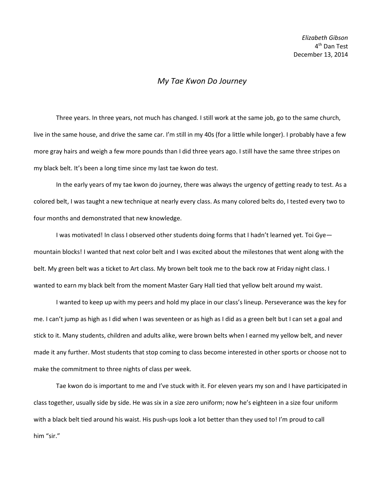## *My Tae Kwon Do Journey*

Three years. In three years, not much has changed. I still work at the same job, go to the same church, live in the same house, and drive the same car. I'm still in my 40s (for a little while longer). I probably have a few more gray hairs and weigh a few more pounds than I did three years ago. I still have the same three stripes on my black belt. It's been a long time since my last tae kwon do test.

In the early years of my tae kwon do journey, there was always the urgency of getting ready to test. As a colored belt, I was taught a new technique at nearly every class. As many colored belts do, I tested every two to four months and demonstrated that new knowledge.

I was motivated! In class I observed other students doing forms that I hadn't learned yet. Toi Gye mountain blocks! I wanted that next color belt and I was excited about the milestones that went along with the belt. My green belt was a ticket to Art class. My brown belt took me to the back row at Friday night class. I wanted to earn my black belt from the moment Master Gary Hall tied that yellow belt around my waist.

I wanted to keep up with my peers and hold my place in our class's lineup. Perseverance was the key for me. I can't jump as high as I did when I was seventeen or as high as I did as a green belt but I can set a goal and stick to it. Many students, children and adults alike, were brown belts when I earned my yellow belt, and never made it any further. Most students that stop coming to class become interested in other sports or choose not to make the commitment to three nights of class per week.

Tae kwon do is important to me and I've stuck with it. For eleven years my son and I have participated in class together, usually side by side. He was six in a size zero uniform; now he's eighteen in a size four uniform with a black belt tied around his waist. His push-ups look a lot better than they used to! I'm proud to call him "sir."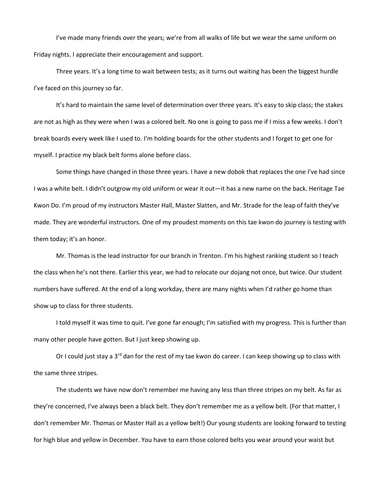I've made many friends over the years; we're from all walks of life but we wear the same uniform on Friday nights. I appreciate their encouragement and support.

Three years. It's a long time to wait between tests; as it turns out waiting has been the biggest hurdle I've faced on this journey so far.

It's hard to maintain the same level of determination over three years. It's easy to skip class; the stakes are not as high as they were when I was a colored belt. No one is going to pass me if I miss a few weeks. I don't break boards every week like I used to. I'm holding boards for the other students and I forget to get one for myself. I practice my black belt forms alone before class.

Some things have changed in those three years. I have a new dobok that replaces the one I've had since I was a white belt. I didn't outgrow my old uniform or wear it out—it has a new name on the back. Heritage Tae Kwon Do. I'm proud of my instructors Master Hall, Master Slatten, and Mr. Strade for the leap of faith they've made. They are wonderful instructors. One of my proudest moments on this tae kwon do journey is testing with them today; it's an honor.

Mr. Thomas is the lead instructor for our branch in Trenton. I'm his highest ranking student so I teach the class when he's not there. Earlier this year, we had to relocate our dojang not once, but twice. Our student numbers have suffered. At the end of a long workday, there are many nights when I'd rather go home than show up to class for three students.

I told myself it was time to quit. I've gone far enough; I'm satisfied with my progress. This is further than many other people have gotten. But I just keep showing up.

Or I could just stay a 3<sup>rd</sup> dan for the rest of my tae kwon do career. I can keep showing up to class with the same three stripes.

The students we have now don't remember me having any less than three stripes on my belt. As far as they're concerned, I've always been a black belt. They don't remember me as a yellow belt. (For that matter, I don't remember Mr. Thomas or Master Hall as a yellow belt!) Our young students are looking forward to testing for high blue and yellow in December. You have to earn those colored belts you wear around your waist but